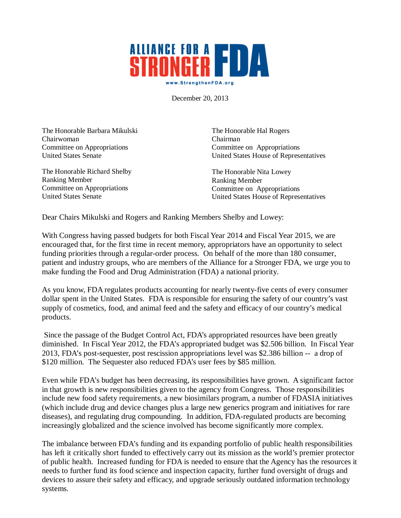## **ALLIANGE FOR A FDA** www.StrengthenFDA.org

December 20, 2013

The Honorable Barbara Mikulski Chairwoman Committee on Appropriations United States Senate

The Honorable Richard Shelby Ranking Member Committee on Appropriations United States Senate

The Honorable Hal Rogers Chairman Committee on Appropriations United States House of Representatives

The Honorable Nita Lowey Ranking Member Committee on Appropriations United States House of Representatives

Dear Chairs Mikulski and Rogers and Ranking Members Shelby and Lowey:

With Congress having passed budgets for both Fiscal Year 2014 and Fiscal Year 2015, we are encouraged that, for the first time in recent memory, appropriators have an opportunity to select funding priorities through a regular-order process. On behalf of the more than 180 consumer, patient and industry groups, who are members of the Alliance for a Stronger FDA, we urge you to make funding the Food and Drug Administration (FDA) a national priority.

As you know, FDA regulates products accounting for nearly twenty-five cents of every consumer dollar spent in the United States. FDA is responsible for ensuring the safety of our country's vast supply of cosmetics, food, and animal feed and the safety and efficacy of our country's medical products.

Since the passage of the Budget Control Act, FDA's appropriated resources have been greatly diminished. In Fiscal Year 2012, the FDA's appropriated budget was \$2.506 billion. In Fiscal Year 2013, FDA's post-sequester, post rescission appropriations level was \$2.386 billion -- a drop of \$120 million. The Sequester also reduced FDA's user fees by \$85 million.

Even while FDA's budget has been decreasing, its responsibilities have grown. A significant factor in that growth is new responsibilities given to the agency from Congress. Those responsibilities include new food safety requirements, a new biosimilars program, a number of FDASIA initiatives (which include drug and device changes plus a large new generics program and initiatives for rare diseases), and regulating drug compounding. In addition, FDA-regulated products are becoming increasingly globalized and the science involved has become significantly more complex.

The imbalance between FDA's funding and its expanding portfolio of public health responsibilities has left it critically short funded to effectively carry out its mission as the world's premier protector of public health. Increased funding for FDA is needed to ensure that the Agency has the resources it needs to further fund its food science and inspection capacity, further fund oversight of drugs and devices to assure their safety and efficacy, and upgrade seriously outdated information technology systems.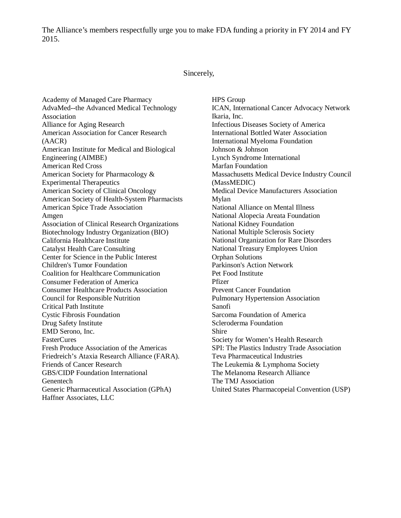The Alliance's members respectfully urge you to make FDA funding a priority in FY 2014 and FY 2015.

## Sincerely,

Academy of Managed Care Pharmacy AdvaMed--the Advanced Medical Technology Association Alliance for Aging Research American Association for Cancer Research (AACR) American Institute for Medical and Biological Engineering (AIMBE) American Red Cross American Society for Pharmacology & Experimental Therapeutics American Society of Clinical Oncology American Society of Health-System Pharmacists American Spice Trade Association Amgen Association of Clinical Research Organizations Biotechnology Industry Organization (BIO) California Healthcare Institute Catalyst Health Care Consulting Center for Science in the Public Interest Children's Tumor Foundation Coalition for Healthcare Communication Consumer Federation of America Consumer Healthcare Products Association Council for Responsible Nutrition Critical Path Institute Cystic Fibrosis Foundation Drug Safety Institute EMD Serono, Inc. FasterCures Fresh Produce Association of the Americas Friedreich's Ataxia Research Alliance (FARA). Friends of Cancer Research GBS/CIDP Foundation International Genentech Generic Pharmaceutical Association (GPhA) Haffner Associates, LLC

HPS Group ICAN, International Cancer Advocacy Network Ikaria, Inc. Infectious Diseases Society of America International Bottled Water Association International Myeloma Foundation Johnson & Johnson Lynch Syndrome International Marfan Foundation Massachusetts Medical Device Industry Council (MassMEDIC) Medical Device Manufacturers Association Mylan National Alliance on Mental Illness National Alopecia Areata Foundation National Kidney Foundation National Multiple Sclerosis Society National Organization for Rare Disorders National Treasury Employees Union Orphan Solutions Parkinson's Action Network Pet Food Institute Pfizer Prevent Cancer Foundation Pulmonary Hypertension Association Sanofi Sarcoma Foundation of America Scleroderma Foundation Shire Society for Women's Health Research SPI: The Plastics Industry Trade Association Teva Pharmaceutical Industries The Leukemia & Lymphoma Society The Melanoma Research Alliance The TMJ Association United States Pharmacopeial Convention (USP)